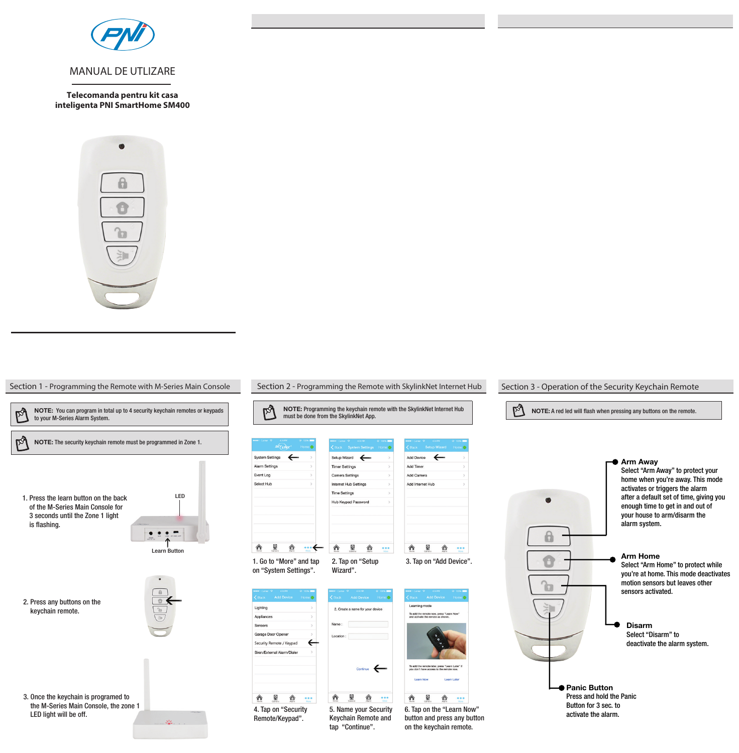

**Telecomanda pentru kit casa inteligenta PNI SmartHome SM400**



**Section 1 - Programming the Remote with M-Series Main Console Section 2 - Programming the Remote with SkylinkNet Internet Hub** NOTE: You can program in total up to 4 security keychain remotes or keypads Ŀγ NOTE: Programming the keychain remote with the SkylinkNet Internet Hub  $\mathbb{R}^3$ to your M-Series Alarm System. must be done from the SkylinkNet App.  $\mathbb{R}^3$ NOTE: The security keychain remote must be programmed in Zone 1. System Settings Setup Wizard  $\leftarrow$ Alarm Settings **Timer Settings** Camera Settings Event Log Select Hub Internet Hub Settings Time Settings 1. Press the learn button on the back LED Hub Keypad Passw of the M-Series Main Console for 3 seconds until the Zone 1 light is flashing.  $\cdot$  -Learn Button 1. Go to "More" and tap 2. Tap on "Setup on "System Settings". Wizard". 2. Press any buttons on the Lighting 2. Create a name for your device keychain remote. Anniances Garage Door Opener Security Remote / Keypad  $\leftarrow$ Siren/External Alarm/Dialer  $\overline{\phantom{a}}$  continue 3. Once the keychain is programed to 贪 星 贪 … **û º @ ...** the M-Series Main Console, the zone 1 4. Tap on "Security 5. Name your Security LED light will be off. Remote/Keypad". Keychain Remote and  $22$ tap "Continue".

Add Device  $\leftarrow$ Arm Away Arki Timer Select "Arm Away" to protect your Add Camera home when you're away. This mode Add Internet Hub activates or triggers the alarm after a default set of time, giving you  $\bullet$ enough time to get in and out of your house to arm/disarm the alarm system.  $\theta$ ▲ ■ ▲ … Arm Home 3. Tap on "Add Device". Select "Arm Home" to protect while you're at home. This mode deactivates motion sensors but leaves other îп sensors activated. To add the remot Disarm Select "Disarm" to deactivate the alarm system. To add the remote later, press "Learn Later" is **Panic Button** Press and hold the Panic 合  $\mathbf{R}$ 企 … Button for 3 sec. to 6. Tap on the "Learn Now" activate the alarm. button and press any button on the keychain remote.

**Section 3 - Operation of the Security Keychain Remote**

NOTE: A red led will flash when pressing any buttons on the remote.